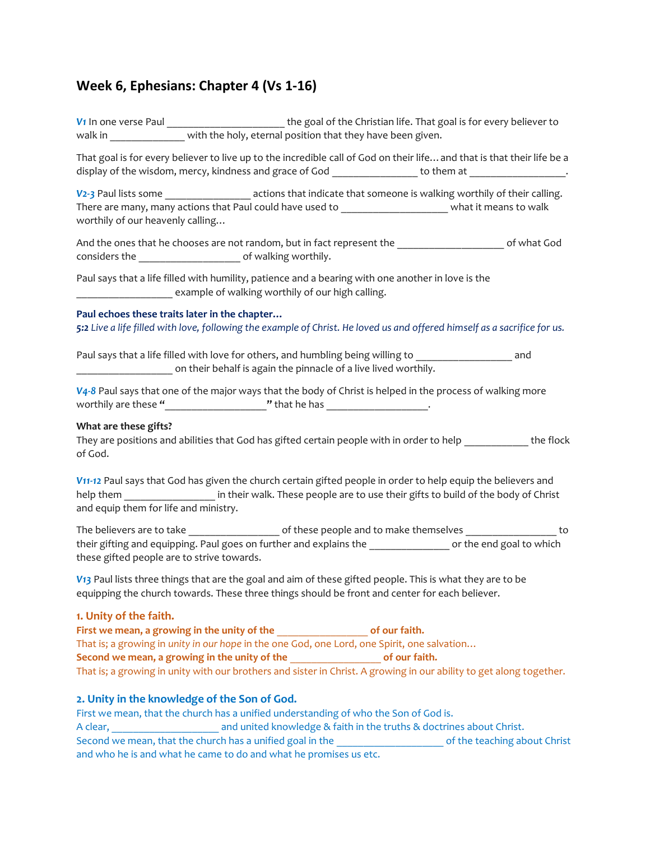# **Week 6, Ephesians: Chapter 4 (Vs 1-16)**

*V<sub>1</sub>* In one verse Paul **Land Comparent Life.** That goal is for every believer to walk in with the holy, eternal position that they have been given.

That goal is for every believer to live up to the incredible call of God on their life…and that is that their life be a display of the wisdom, mercy, kindness and grace of God \_\_\_\_\_\_\_\_\_\_\_\_\_\_\_\_\_\_\_ to them at \_\_\_\_\_\_\_\_\_\_\_\_\_\_\_\_\_\_\_.

*V<sub>2</sub>-3</sub>* Paul lists some *actions that indicate that someone is walking worthily of their calling.* There are many, many actions that Paul could have used to example that it means to walk worthily of our heavenly calling…

And the ones that he chooses are not random, but in fact represent the \_\_\_\_\_\_\_\_\_\_\_\_\_\_\_\_\_\_\_\_ of what God considers the  $\qquad \qquad$  of walking worthily.

Paul says that a life filled with humility, patience and a bearing with one another in love is the example of walking worthily of our high calling.

#### **Paul echoes these traits later in the chapter…**

*5:2 Live a life filled with love, following the example of Christ. He loved us and offered himself as a sacrifice for us.* 

Paul says that a life filled with love for others, and humbling being willing to **which and** and on their behalf is again the pinnacle of a live lived worthily.

*V4-8* Paul says that one of the major ways that the body of Christ is helped in the process of walking more worthily are these "<br>  $\blacksquare$  **"** that he has  $\blacksquare$ 

#### **What are these gifts?**

They are positions and abilities that God has gifted certain people with in order to help **the flock** of God.

*V11-12* Paul says that God has given the church certain gifted people in order to help equip the believers and help them **in their walk.** These people are to use their gifts to build of the body of Christ and equip them for life and ministry.

The believers are to take \_\_\_\_\_\_\_\_\_\_\_\_\_\_\_\_\_ of these people and to make themselves \_\_\_\_\_\_\_\_\_\_\_\_\_\_\_\_\_ to their gifting and equipping. Paul goes on further and explains the **Lange on the end goal to which** these gifted people are to strive towards.

*V13* Paul lists three things that are the goal and aim of these gifted people. This is what they are to be equipping the church towards. These three things should be front and center for each believer.

## **1. Unity of the faith.**

First we mean, a growing in the unity of the **with and the set of our faith.** That is; a growing in *unity in our hope* in the one God, one Lord, one Spirit, one salvation… **Second we mean, a growing in the unity of the** \_\_\_\_\_\_\_\_\_\_\_\_\_\_\_\_\_ **of our faith.**  That is; a growing in unity with our brothers and sister in Christ. A growing in our ability to get along together.

## **2. Unity in the knowledge of the Son of God.**

First we mean, that the church has a unified understanding of who the Son of God is. A clear, **A clear, A clear, A clear, A** clear, **A** clear, **A** clear, **A** clear, **A** clear, **A** clear, **A** clear, **A** clear, **A** clear, **A** clear, **A** clear, **A** clear, **A** clear, **A** clear, **A** clear, **A** clear, **A** Second we mean, that the church has a unified goal in the \_\_\_\_\_\_\_\_\_\_\_\_\_\_\_\_\_\_\_\_ of the teaching about Christ and who he is and what he came to do and what he promises us etc.